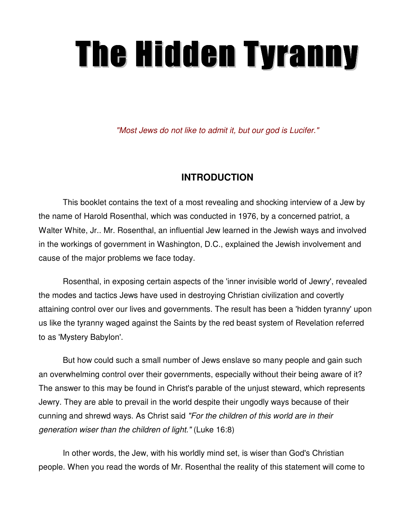# The Hidden Tyranny

"Most Jews do not like to admit it, but our god is Lucifer."

# **INTRODUCTION**

This booklet contains the text of a most revealing and shocking interview of a Jew by the name of Harold Rosenthal, which was conducted in 1976, by a concerned patriot, a Walter White, Jr.. Mr. Rosenthal, an influential Jew learned in the Jewish ways and involved in the workings of government in Washington, D.C., explained the Jewish involvement and cause of the major problems we face today.

Rosenthal, in exposing certain aspects of the 'inner invisible world of Jewry', revealed the modes and tactics Jews have used in destroying Christian civilization and covertly attaining control over our lives and governments. The result has been a 'hidden tyranny' upon us like the tyranny waged against the Saints by the red beast system of Revelation referred to as 'Mystery Babylon'.

But how could such a small number of Jews enslave so many people and gain such an overwhelming control over their governments, especially without their being aware of it? The answer to this may be found in Christ's parable of the unjust steward, which represents Jewry. They are able to prevail in the world despite their ungodly ways because of their cunning and shrewd ways. As Christ said "For the children of this world are in their generation wiser than the children of light." (Luke 16:8)

In other words, the Jew, with his worldly mind set, is wiser than God's Christian people. When you read the words of Mr. Rosenthal the reality of this statement will come to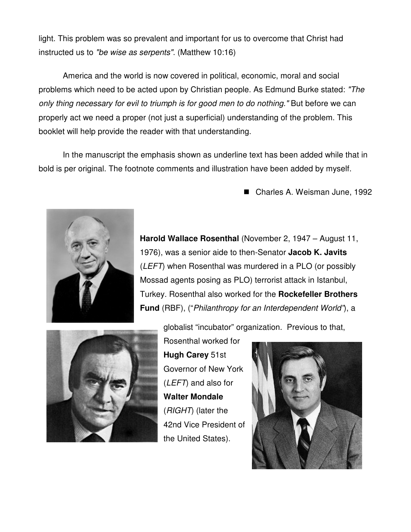light. This problem was so prevalent and important for us to overcome that Christ had instructed us to "be wise as serpents". (Matthew 10:16)

America and the world is now covered in political, economic, moral and social problems which need to be acted upon by Christian people. As Edmund Burke stated: "The only thing necessary for evil to triumph is for good men to do nothing." But before we can properly act we need a proper (not just a superficial) understanding of the problem. This booklet will help provide the reader with that understanding.

In the manuscript the emphasis shown as underline text has been added while that in bold is per original. The footnote comments and illustration have been added by myself.

■ Charles A. Weisman June, 1992



**Harold Wallace Rosenthal** (November 2, 1947 – August 11, 1976), was a senior aide to then-Senator **Jacob K. Javits** (LEFT) when Rosenthal was murdered in a PLO (or possibly Mossad agents posing as PLO) terrorist attack in Istanbul, Turkey. Rosenthal also worked for the **Rockefeller Brothers Fund** (RBF), ("Philanthropy for an Interdependent World"), a





Rosenthal worked for **Hugh Carey** 51st Governor of New York (LEFT) and also for **Walter Mondale** (RIGHT) (later the 42nd Vice President of the United States).

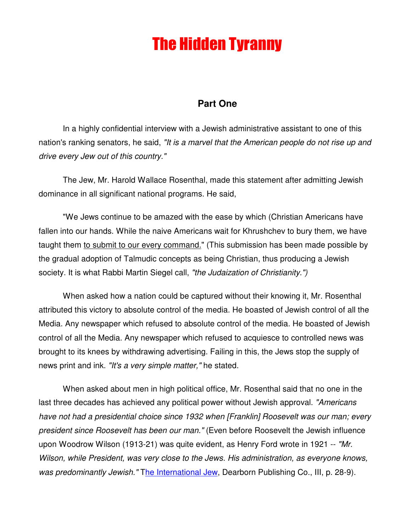# The Hidden Tyranny

#### **Part One**

In a highly confidential interview with a Jewish administrative assistant to one of this nation's ranking senators, he said, "It is a marvel that the American people do not rise up and drive every Jew out of this country."

The Jew, Mr. Harold Wallace Rosenthal, made this statement after admitting Jewish dominance in all significant national programs. He said,

"We Jews continue to be amazed with the ease by which (Christian Americans have fallen into our hands. While the naive Americans wait for Khrushchev to bury them, we have taught them to submit to our every command." (This submission has been made possible by the gradual adoption of Talmudic concepts as being Christian, thus producing a Jewish society. It is what Rabbi Martin Siegel call, "the Judaization of Christianity.")

When asked how a nation could be captured without their knowing it, Mr. Rosenthal attributed this victory to absolute control of the media. He boasted of Jewish control of all the Media. Any newspaper which refused to absolute control of the media. He boasted of Jewish control of all the Media. Any newspaper which refused to acquiesce to controlled news was brought to its knees by withdrawing advertising. Failing in this, the Jews stop the supply of news print and ink. "It's a very simple matter," he stated.

When asked about men in high political office, Mr. Rosenthal said that no one in the last three decades has achieved any political power without Jewish approval. "Americans" have not had a presidential choice since 1932 when [Franklin] Roosevelt was our man; every president since Roosevelt has been our man." (Even before Roosevelt the Jewish influence upon Woodrow Wilson (1913-21) was quite evident, as Henry Ford wrote in 1921 -- "Mr. Wilson, while President, was very close to the Jews. His administration, as everyone knows, was predominantly Jewish." The International Jew, Dearborn Publishing Co., III, p. 28-9).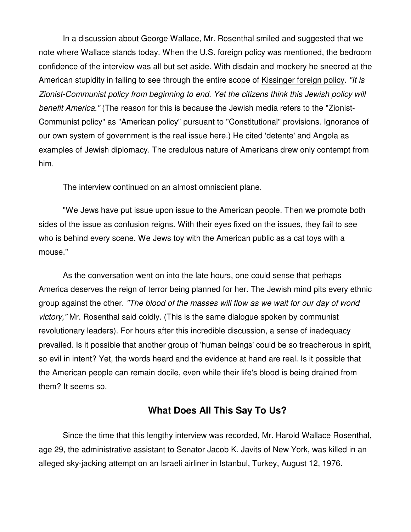In a discussion about George Wallace, Mr. Rosenthal smiled and suggested that we note where Wallace stands today. When the U.S. foreign policy was mentioned, the bedroom confidence of the interview was all but set aside. With disdain and mockery he sneered at the American stupidity in failing to see through the entire scope of Kissinger foreign policy. "It is Zionist-Communist policy from beginning to end. Yet the citizens think this Jewish policy will benefit America." (The reason for this is because the Jewish media refers to the "Zionist-Communist policy" as "American policy" pursuant to "Constitutional" provisions. Ignorance of our own system of government is the real issue here.) He cited 'detente' and Angola as examples of Jewish diplomacy. The credulous nature of Americans drew only contempt from him.

The interview continued on an almost omniscient plane.

"We Jews have put issue upon issue to the American people. Then we promote both sides of the issue as confusion reigns. With their eyes fixed on the issues, they fail to see who is behind every scene. We Jews toy with the American public as a cat toys with a mouse."

As the conversation went on into the late hours, one could sense that perhaps America deserves the reign of terror being planned for her. The Jewish mind pits every ethnic group against the other. "The blood of the masses will flow as we wait for our day of world victory," Mr. Rosenthal said coldly. (This is the same dialogue spoken by communist revolutionary leaders). For hours after this incredible discussion, a sense of inadequacy prevailed. Is it possible that another group of 'human beings' could be so treacherous in spirit, so evil in intent? Yet, the words heard and the evidence at hand are real. Is it possible that the American people can remain docile, even while their life's blood is being drained from them? It seems so.

#### **What Does All This Say To Us?**

Since the time that this lengthy interview was recorded, Mr. Harold Wallace Rosenthal, age 29, the administrative assistant to Senator Jacob K. Javits of New York, was killed in an alleged sky-jacking attempt on an Israeli airliner in Istanbul, Turkey, August 12, 1976.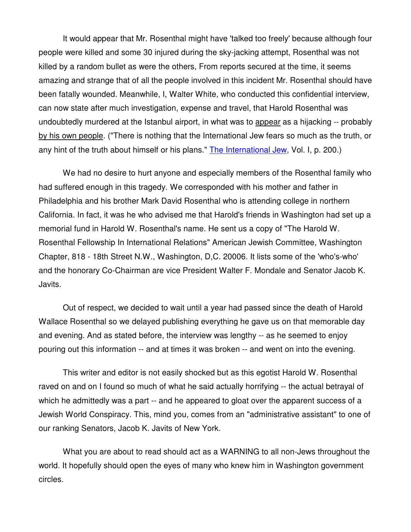It would appear that Mr. Rosenthal might have 'talked too freely' because although four people were killed and some 30 injured during the sky-jacking attempt, Rosenthal was not killed by a random bullet as were the others, From reports secured at the time, it seems amazing and strange that of all the people involved in this incident Mr. Rosenthal should have been fatally wounded. Meanwhile, I, Walter White, who conducted this confidential interview, can now state after much investigation, expense and travel, that Harold Rosenthal was undoubtedly murdered at the Istanbul airport, in what was to appear as a hijacking -- probably by his own people. ("There is nothing that the International Jew fears so much as the truth, or any hint of the truth about himself or his plans." The International Jew, Vol. I, p. 200.)

We had no desire to hurt anyone and especially members of the Rosenthal family who had suffered enough in this tragedy. We corresponded with his mother and father in Philadelphia and his brother Mark David Rosenthal who is attending college in northern California. In fact, it was he who advised me that Harold's friends in Washington had set up a memorial fund in Harold W. Rosenthal's name. He sent us a copy of "The Harold W. Rosenthal Fellowship In International Relations" American Jewish Committee, Washington Chapter, 818 - 18th Street N.W., Washington, D,C. 20006. It lists some of the 'who's-who' and the honorary Co-Chairman are vice President Walter F. Mondale and Senator Jacob K. Javits.

Out of respect, we decided to wait until a year had passed since the death of Harold Wallace Rosenthal so we delayed publishing everything he gave us on that memorable day and evening. And as stated before, the interview was lengthy -- as he seemed to enjoy pouring out this information -- and at times it was broken -- and went on into the evening.

This writer and editor is not easily shocked but as this egotist Harold W. Rosenthal raved on and on I found so much of what he said actually horrifying -- the actual betrayal of which he admittedly was a part -- and he appeared to gloat over the apparent success of a Jewish World Conspiracy. This, mind you, comes from an "administrative assistant" to one of our ranking Senators, Jacob K. Javits of New York.

What you are about to read should act as a WARNING to all non-Jews throughout the world. It hopefully should open the eyes of many who knew him in Washington government circles.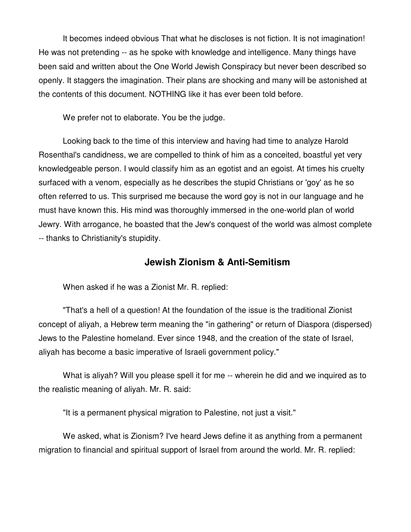It becomes indeed obvious That what he discloses is not fiction. It is not imagination! He was not pretending -- as he spoke with knowledge and intelligence. Many things have been said and written about the One World Jewish Conspiracy but never been described so openly. It staggers the imagination. Their plans are shocking and many will be astonished at the contents of this document. NOTHING like it has ever been told before.

We prefer not to elaborate. You be the judge.

Looking back to the time of this interview and having had time to analyze Harold Rosenthal's candidness, we are compelled to think of him as a conceited, boastful yet very knowledgeable person. I would classify him as an egotist and an egoist. At times his cruelty surfaced with a venom, especially as he describes the stupid Christians or 'goy' as he so often referred to us. This surprised me because the word goy is not in our language and he must have known this. His mind was thoroughly immersed in the one-world plan of world Jewry. With arrogance, he boasted that the Jew's conquest of the world was almost complete -- thanks to Christianity's stupidity.

#### **Jewish Zionism & Anti-Semitism**

When asked if he was a Zionist Mr. R. replied:

"That's a hell of a question! At the foundation of the issue is the traditional Zionist concept of aliyah, a Hebrew term meaning the "in gathering" or return of Diaspora (dispersed) Jews to the Palestine homeland. Ever since 1948, and the creation of the state of Israel, aliyah has become a basic imperative of Israeli government policy."

What is aliyah? Will you please spell it for me -- wherein he did and we inquired as to the realistic meaning of aliyah. Mr. R. said:

"It is a permanent physical migration to Palestine, not just a visit."

We asked, what is Zionism? I've heard Jews define it as anything from a permanent migration to financial and spiritual support of Israel from around the world. Mr. R. replied: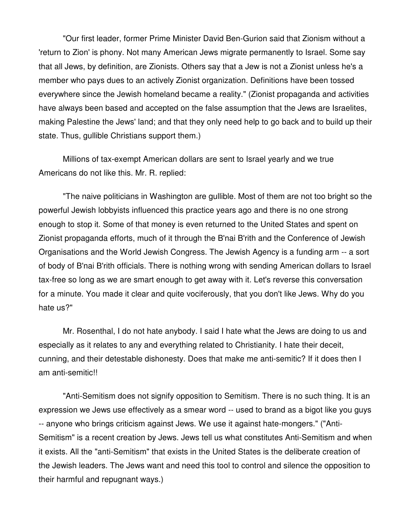"Our first leader, former Prime Minister David Ben-Gurion said that Zionism without a 'return to Zion' is phony. Not many American Jews migrate permanently to Israel. Some say that all Jews, by definition, are Zionists. Others say that a Jew is not a Zionist unless he's a member who pays dues to an actively Zionist organization. Definitions have been tossed everywhere since the Jewish homeland became a reality." (Zionist propaganda and activities have always been based and accepted on the false assumption that the Jews are Israelites, making Palestine the Jews' land; and that they only need help to go back and to build up their state. Thus, gullible Christians support them.)

Millions of tax-exempt American dollars are sent to Israel yearly and we true Americans do not like this. Mr. R. replied:

"The naive politicians in Washington are gullible. Most of them are not too bright so the powerful Jewish lobbyists influenced this practice years ago and there is no one strong enough to stop it. Some of that money is even returned to the United States and spent on Zionist propaganda efforts, much of it through the B'nai B'rith and the Conference of Jewish Organisations and the World Jewish Congress. The Jewish Agency is a funding arm -- a sort of body of B'nai B'rith officials. There is nothing wrong with sending American dollars to Israel tax-free so long as we are smart enough to get away with it. Let's reverse this conversation for a minute. You made it clear and quite vociferously, that you don't like Jews. Why do you hate us?"

Mr. Rosenthal, I do not hate anybody. I said I hate what the Jews are doing to us and especially as it relates to any and everything related to Christianity. I hate their deceit, cunning, and their detestable dishonesty. Does that make me anti-semitic? If it does then I am anti-semitic!!

"Anti-Semitism does not signify opposition to Semitism. There is no such thing. It is an expression we Jews use effectively as a smear word -- used to brand as a bigot like you guys -- anyone who brings criticism against Jews. We use it against hate-mongers." ("Anti-Semitism" is a recent creation by Jews. Jews tell us what constitutes Anti-Semitism and when it exists. All the "anti-Semitism" that exists in the United States is the deliberate creation of the Jewish leaders. The Jews want and need this tool to control and silence the opposition to their harmful and repugnant ways.)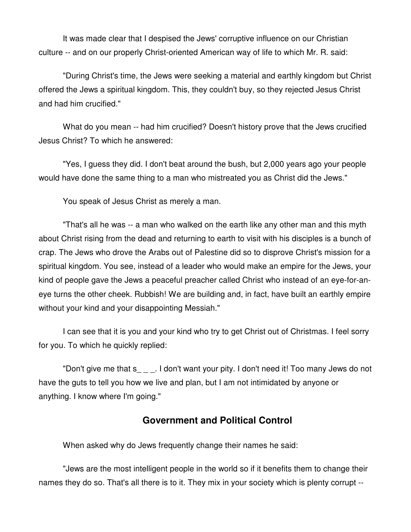It was made clear that I despised the Jews' corruptive influence on our Christian culture -- and on our properly Christ-oriented American way of life to which Mr. R. said:

"During Christ's time, the Jews were seeking a material and earthly kingdom but Christ offered the Jews a spiritual kingdom. This, they couldn't buy, so they rejected Jesus Christ and had him crucified."

What do you mean -- had him crucified? Doesn't history prove that the Jews crucified Jesus Christ? To which he answered:

"Yes, I guess they did. I don't beat around the bush, but 2,000 years ago your people would have done the same thing to a man who mistreated you as Christ did the Jews."

You speak of Jesus Christ as merely a man.

"That's all he was -- a man who walked on the earth like any other man and this myth about Christ rising from the dead and returning to earth to visit with his disciples is a bunch of crap. The Jews who drove the Arabs out of Palestine did so to disprove Christ's mission for a spiritual kingdom. You see, instead of a leader who would make an empire for the Jews, your kind of people gave the Jews a peaceful preacher called Christ who instead of an eye-for-aneye turns the other cheek. Rubbish! We are building and, in fact, have built an earthly empire without your kind and your disappointing Messiah."

I can see that it is you and your kind who try to get Christ out of Christmas. I feel sorry for you. To which he quickly replied:

"Don't give me that s\_ \_ \_. I don't want your pity. I don't need it! Too many Jews do not have the guts to tell you how we live and plan, but I am not intimidated by anyone or anything. I know where I'm going."

#### **Government and Political Control**

When asked why do Jews frequently change their names he said:

"Jews are the most intelligent people in the world so if it benefits them to change their names they do so. That's all there is to it. They mix in your society which is plenty corrupt --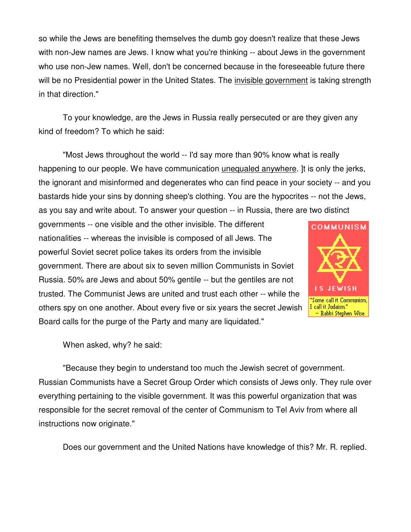so while the Jews are benefiting themselves the dumb goy doesn't realize that these Jews with non-Jew names are Jews. I know what you're thinking -- about Jews in the government who use non-Jew names. Well, don't be concerned because in the foreseeable future there will be no Presidential power in the United States. The *invisible government* is taking strength in that direction."

To your knowledge, are the Jews in Russia really persecuted or are they given any kind of freedom? To which he said:

"Most Jews throughout the world -- I'd say more than 90% know what is really happening to our people. We have communication unequaled anywhere. It is only the jerks, the ignorant and misinformed and degenerates who can find peace in your society -- and you bastards hide your sins by donning sheep's clothing. You are the hypocrites -- not the Jews, as you say and write about. To answer your question -- in Russia, there are two distinct

governments -- one visible and the other invisible. The different nationalities -- whereas the invisible is composed of all Jews. The powerful Soviet secret police takes its orders from the invisible government. There are about six to seven million Communists in Soviet Russia. 50% are Jews and about 50% gentile -- but the gentiles are not trusted. The Communist Jews are united and trust each other -- while the others spy on one another. About every five or six years the secret Jewish Board calls for the purge of the Party and many are liquidated."



When asked, why? he said:

"Because they begin to understand too much the Jewish secret of government. Russian Communists have a Secret Group Order which consists of Jews only. They rule over everything pertaining to the visible government. It was this powerful organization that was responsible for the secret removal of the center of Communism to Tel Aviv from where all instructions now originate."

Does our government and the United Nations have knowledge of this? Mr. R. replied.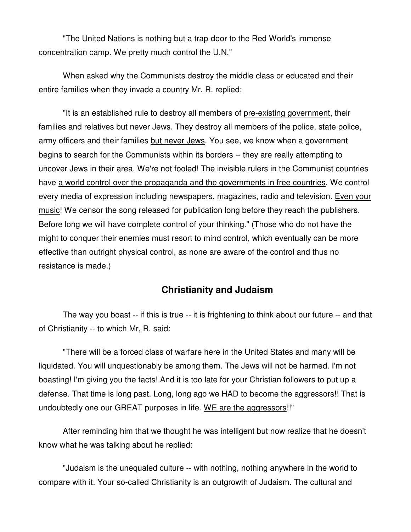"The United Nations is nothing but a trap-door to the Red World's immense concentration camp. We pretty much control the U.N."

When asked why the Communists destroy the middle class or educated and their entire families when they invade a country Mr. R. replied:

"It is an established rule to destroy all members of pre-existing government, their families and relatives but never Jews. They destroy all members of the police, state police, army officers and their families but never Jews. You see, we know when a government begins to search for the Communists within its borders -- they are really attempting to uncover Jews in their area. We're not fooled! The invisible rulers in the Communist countries have a world control over the propaganda and the governments in free countries. We control every media of expression including newspapers, magazines, radio and television. Even your music! We censor the song released for publication long before they reach the publishers. Before long we will have complete control of your thinking." (Those who do not have the might to conquer their enemies must resort to mind control, which eventually can be more effective than outright physical control, as none are aware of the control and thus no resistance is made.)

#### **Christianity and Judaism**

The way you boast -- if this is true -- it is frightening to think about our future -- and that of Christianity -- to which Mr, R. said:

"There will be a forced class of warfare here in the United States and many will be liquidated. You will unquestionably be among them. The Jews will not be harmed. I'm not boasting! I'm giving you the facts! And it is too late for your Christian followers to put up a defense. That time is long past. Long, long ago we HAD to become the aggressors!! That is undoubtedly one our GREAT purposes in life. WE are the aggressors!!"

After reminding him that we thought he was intelligent but now realize that he doesn't know what he was talking about he replied:

"Judaism is the unequaled culture -- with nothing, nothing anywhere in the world to compare with it. Your so-called Christianity is an outgrowth of Judaism. The cultural and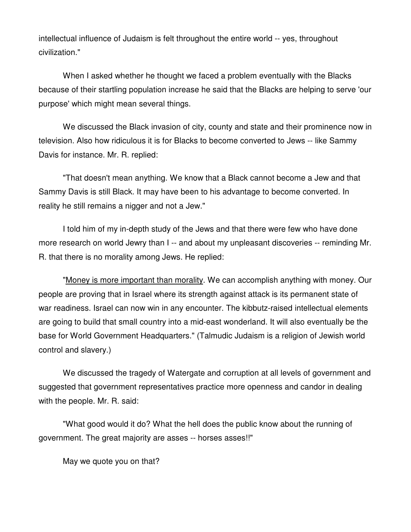intellectual influence of Judaism is felt throughout the entire world -- yes, throughout civilization."

When I asked whether he thought we faced a problem eventually with the Blacks because of their startling population increase he said that the Blacks are helping to serve 'our purpose' which might mean several things.

We discussed the Black invasion of city, county and state and their prominence now in television. Also how ridiculous it is for Blacks to become converted to Jews -- like Sammy Davis for instance. Mr. R. replied:

"That doesn't mean anything. We know that a Black cannot become a Jew and that Sammy Davis is still Black. It may have been to his advantage to become converted. In reality he still remains a nigger and not a Jew."

I told him of my in-depth study of the Jews and that there were few who have done more research on world Jewry than I -- and about my unpleasant discoveries -- reminding Mr. R. that there is no morality among Jews. He replied:

"Money is more important than morality. We can accomplish anything with money. Our people are proving that in Israel where its strength against attack is its permanent state of war readiness. Israel can now win in any encounter. The kibbutz-raised intellectual elements are going to build that small country into a mid-east wonderland. It will also eventually be the base for World Government Headquarters." (Talmudic Judaism is a religion of Jewish world control and slavery.)

We discussed the tragedy of Watergate and corruption at all levels of government and suggested that government representatives practice more openness and candor in dealing with the people. Mr. R. said:

"What good would it do? What the hell does the public know about the running of government. The great majority are asses -- horses asses!!"

May we quote you on that?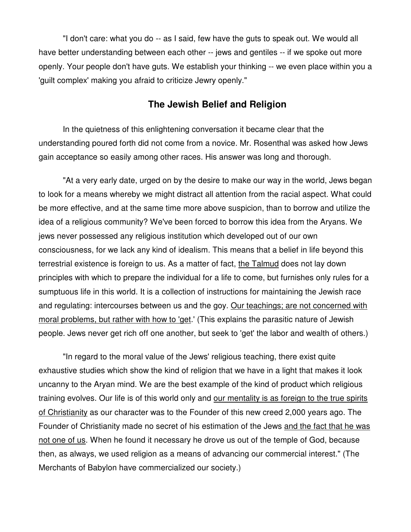"I don't care: what you do -- as I said, few have the guts to speak out. We would all have better understanding between each other -- jews and gentiles -- if we spoke out more openly. Your people don't have guts. We establish your thinking -- we even place within you a 'guilt complex' making you afraid to criticize Jewry openly."

#### **The Jewish Belief and Religion**

In the quietness of this enlightening conversation it became clear that the understanding poured forth did not come from a novice. Mr. Rosenthal was asked how Jews gain acceptance so easily among other races. His answer was long and thorough.

"At a very early date, urged on by the desire to make our way in the world, Jews began to look for a means whereby we might distract all attention from the racial aspect. What could be more effective, and at the same time more above suspicion, than to borrow and utilize the idea of a religious community? We've been forced to borrow this idea from the Aryans. We jews never possessed any religious institution which developed out of our own consciousness, for we lack any kind of idealism. This means that a belief in life beyond this terrestrial existence is foreign to us. As a matter of fact, the Talmud does not lay down principles with which to prepare the individual for a life to come, but furnishes only rules for a sumptuous life in this world. It is a collection of instructions for maintaining the Jewish race and regulating: intercourses between us and the goy. Our teachings; are not concerned with moral problems, but rather with how to 'get.' (This explains the parasitic nature of Jewish people. Jews never get rich off one another, but seek to 'get' the labor and wealth of others.)

"In regard to the moral value of the Jews' religious teaching, there exist quite exhaustive studies which show the kind of religion that we have in a light that makes it look uncanny to the Aryan mind. We are the best example of the kind of product which religious training evolves. Our life is of this world only and our mentality is as foreign to the true spirits of Christianity as our character was to the Founder of this new creed 2,000 years ago. The Founder of Christianity made no secret of his estimation of the Jews and the fact that he was not one of us. When he found it necessary he drove us out of the temple of God, because then, as always, we used religion as a means of advancing our commercial interest." (The Merchants of Babylon have commercialized our society.)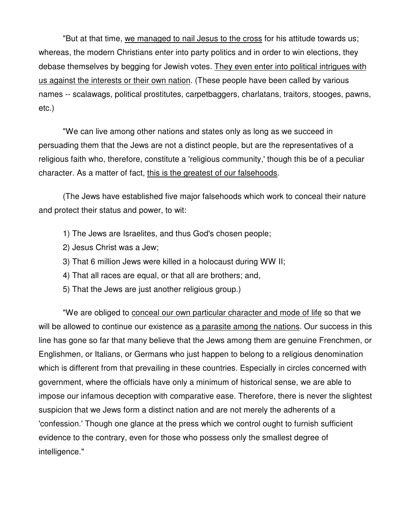"But at that time, we managed to nail Jesus to the cross for his attitude towards us; whereas, the modern Christians enter into party politics and in order to win elections, they debase themselves by begging for Jewish votes. They even enter into political intrigues with us against the interests or their own nation. (These people have been called by various names -- scalawags, political prostitutes, carpetbaggers, charlatans, traitors, stooges, pawns, etc.)

"We can live among other nations and states only as long as we succeed in persuading them that the Jews are not a distinct people, but are the representatives of a religious faith who, therefore, constitute a 'religious community,' though this be of a peculiar character. As a matter of fact, this is the greatest of our falsehoods.

(The Jews have established five major falsehoods which work to conceal their nature and protect their status and power, to wit:

- 1) The Jews are Israelites, and thus God's chosen people;
- 2) Jesus Christ was a Jew;
- 3) That 6 million Jews were killed in a holocaust during WW II;
- 4) That all races are equal, or that all are brothers; and,
- 5) That the Jews are just another religious group.)

"We are obliged to conceal our own particular character and mode of life so that we will be allowed to continue our existence as a parasite among the nations. Our success in this line has gone so far that many believe that the Jews among them are genuine Frenchmen, or Englishmen, or Italians, or Germans who just happen to belong to a religious denomination which is different from that prevailing in these countries. Especially in circles concerned with government, where the officials have only a minimum of historical sense, we are able to impose our infamous deception with comparative ease. Therefore, there is never the slightest suspicion that we Jews form a distinct nation and are not merely the adherents of a 'confession.' Though one glance at the press which we control ought to furnish sufficient evidence to the contrary, even for those who possess only the smallest degree of intelligence."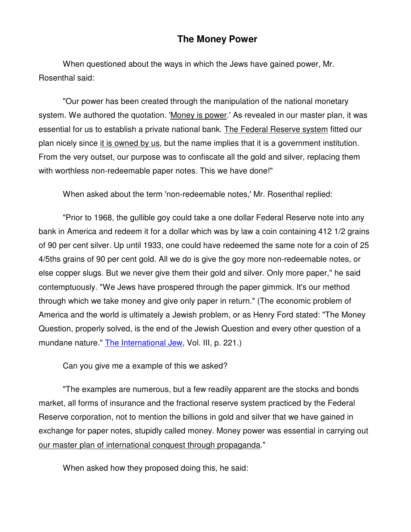#### **The Money Power**

When questioned about the ways in which the Jews have gained power, Mr. Rosenthal said:

"Our power has been created through the manipulation of the national monetary system. We authored the quotation. 'Money is power.' As revealed in our master plan, it was essential for us to establish a private national bank. The Federal Reserve system fitted our plan nicely since it is owned by us, but the name implies that it is a government institution. From the very outset, our purpose was to confiscate all the gold and silver, replacing them with worthless non-redeemable paper notes. This we have done!"

When asked about the term 'non-redeemable notes,' Mr. Rosenthal replied:

"Prior to 1968, the gullible goy could take a one dollar Federal Reserve note into any bank in America and redeem it for a dollar which was by law a coin containing 412 1/2 grains of 90 per cent silver. Up until 1933, one could have redeemed the same note for a coin of 25 4/5ths grains of 90 per cent gold. All we do is give the goy more non-redeemable notes, or else copper slugs. But we never give them their gold and silver. Only more paper," he said contemptuously. "We Jews have prospered through the paper gimmick. It's our method through which we take money and give only paper in return." (The economic problem of America and the world is ultimately a Jewish problem, or as Henry Ford stated: "The Money Question, properly solved, is the end of the Jewish Question and every other question of a mundane nature." The International Jew, Vol. III, p. 221.)

Can you give me a example of this we asked?

"The examples are numerous, but a few readily apparent are the stocks and bonds market, all forms of insurance and the fractional reserve system practiced by the Federal Reserve corporation, not to mention the billions in gold and silver that we have gained in exchange for paper notes, stupidly called money. Money power was essential in carrying out our master plan of international conquest through propaganda."

When asked how they proposed doing this, he said: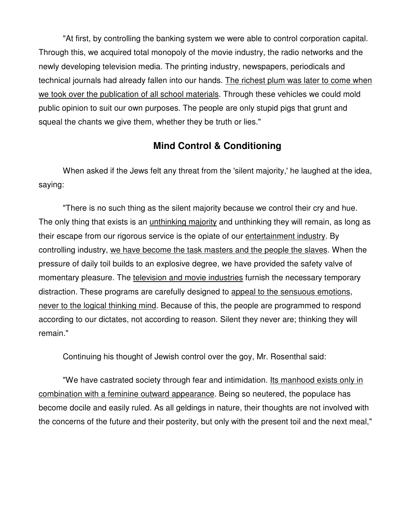"At first, by controlling the banking system we were able to control corporation capital. Through this, we acquired total monopoly of the movie industry, the radio networks and the newly developing television media. The printing industry, newspapers, periodicals and technical journals had already fallen into our hands. The richest plum was later to come when we took over the publication of all school materials. Through these vehicles we could mold public opinion to suit our own purposes. The people are only stupid pigs that grunt and squeal the chants we give them, whether they be truth or lies."

#### **Mind Control & Conditioning**

When asked if the Jews felt any threat from the 'silent majority,' he laughed at the idea, saying:

"There is no such thing as the silent majority because we control their cry and hue. The only thing that exists is an unthinking majority and unthinking they will remain, as long as their escape from our rigorous service is the opiate of our entertainment industry. By controlling industry, we have become the task masters and the people the slaves. When the pressure of daily toil builds to an explosive degree, we have provided the safety valve of momentary pleasure. The television and movie industries furnish the necessary temporary distraction. These programs are carefully designed to appeal to the sensuous emotions, never to the logical thinking mind. Because of this, the people are programmed to respond according to our dictates, not according to reason. Silent they never are; thinking they will remain."

Continuing his thought of Jewish control over the goy, Mr. Rosenthal said:

"We have castrated society through fear and intimidation. Its manhood exists only in combination with a feminine outward appearance. Being so neutered, the populace has become docile and easily ruled. As all geldings in nature, their thoughts are not involved with the concerns of the future and their posterity, but only with the present toil and the next meal,"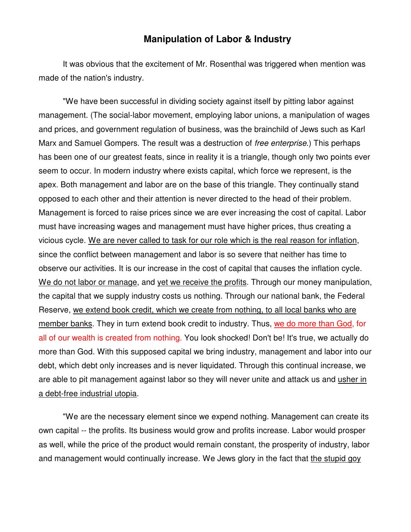#### **Manipulation of Labor & Industry**

It was obvious that the excitement of Mr. Rosenthal was triggered when mention was made of the nation's industry.

"We have been successful in dividing society against itself by pitting labor against management. (The social-labor movement, employing labor unions, a manipulation of wages and prices, and government regulation of business, was the brainchild of Jews such as Karl Marx and Samuel Gompers. The result was a destruction of *free enterprise*.) This perhaps has been one of our greatest feats, since in reality it is a triangle, though only two points ever seem to occur. In modern industry where exists capital, which force we represent, is the apex. Both management and labor are on the base of this triangle. They continually stand opposed to each other and their attention is never directed to the head of their problem. Management is forced to raise prices since we are ever increasing the cost of capital. Labor must have increasing wages and management must have higher prices, thus creating a vicious cycle. We are never called to task for our role which is the real reason for inflation, since the conflict between management and labor is so severe that neither has time to observe our activities. It is our increase in the cost of capital that causes the inflation cycle. We do not labor or manage, and yet we receive the profits. Through our money manipulation, the capital that we supply industry costs us nothing. Through our national bank, the Federal Reserve, we extend book credit, which we create from nothing, to all local banks who are member banks. They in turn extend book credit to industry. Thus, we do more than God, for all of our wealth is created from nothing. You look shocked! Don't be! It's true, we actually do more than God. With this supposed capital we bring industry, management and labor into our debt, which debt only increases and is never liquidated. Through this continual increase, we are able to pit management against labor so they will never unite and attack us and usher in a debt-free industrial utopia.

"We are the necessary element since we expend nothing. Management can create its own capital -- the profits. Its business would grow and profits increase. Labor would prosper as well, while the price of the product would remain constant, the prosperity of industry, labor and management would continually increase. We Jews glory in the fact that the stupid goy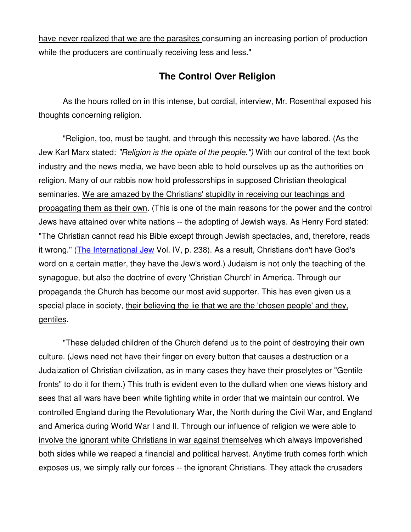have never realized that we are the parasites consuming an increasing portion of production while the producers are continually receiving less and less."

### **The Control Over Religion**

As the hours rolled on in this intense, but cordial, interview, Mr. Rosenthal exposed his thoughts concerning religion.

"Religion, too, must be taught, and through this necessity we have labored. (As the Jew Karl Marx stated: "Religion is the opiate of the people.") With our control of the text book industry and the news media, we have been able to hold ourselves up as the authorities on religion. Many of our rabbis now hold professorships in supposed Christian theological seminaries. We are amazed by the Christians' stupidity in receiving our teachings and propagating them as their own. (This is one of the main reasons for the power and the control Jews have attained over white nations -- the adopting of Jewish ways. As Henry Ford stated: "The Christian cannot read his Bible except through Jewish spectacles, and, therefore, reads it wrong." (The International Jew Vol. IV, p. 238). As a result, Christians don't have God's word on a certain matter, they have the Jew's word.) Judaism is not only the teaching of the synagogue, but also the doctrine of every 'Christian Church' in America. Through our propaganda the Church has become our most avid supporter. This has even given us a special place in society, their believing the lie that we are the 'chosen people' and they, gentiles.

"These deluded children of the Church defend us to the point of destroying their own culture. (Jews need not have their finger on every button that causes a destruction or a Judaization of Christian civilization, as in many cases they have their proselytes or "Gentile fronts" to do it for them.) This truth is evident even to the dullard when one views history and sees that all wars have been white fighting white in order that we maintain our control. We controlled England during the Revolutionary War, the North during the Civil War, and England and America during World War I and II. Through our influence of religion we were able to involve the ignorant white Christians in war against themselves which always impoverished both sides while we reaped a financial and political harvest. Anytime truth comes forth which exposes us, we simply rally our forces -- the ignorant Christians. They attack the crusaders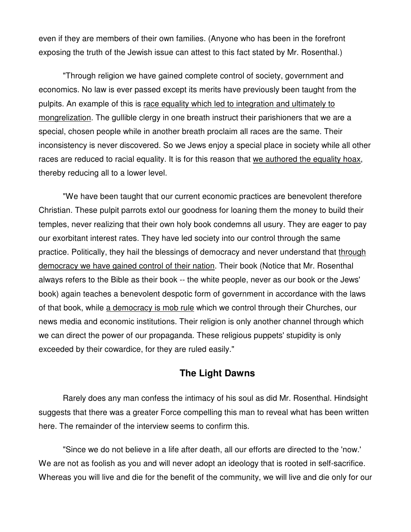even if they are members of their own families. (Anyone who has been in the forefront exposing the truth of the Jewish issue can attest to this fact stated by Mr. Rosenthal.)

"Through religion we have gained complete control of society, government and economics. No law is ever passed except its merits have previously been taught from the pulpits. An example of this is race equality which led to integration and ultimately to mongrelization. The gullible clergy in one breath instruct their parishioners that we are a special, chosen people while in another breath proclaim all races are the same. Their inconsistency is never discovered. So we Jews enjoy a special place in society while all other races are reduced to racial equality. It is for this reason that we authored the equality hoax, thereby reducing all to a lower level.

"We have been taught that our current economic practices are benevolent therefore Christian. These pulpit parrots extol our goodness for loaning them the money to build their temples, never realizing that their own holy book condemns all usury. They are eager to pay our exorbitant interest rates. They have led society into our control through the same practice. Politically, they hail the blessings of democracy and never understand that through democracy we have gained control of their nation. Their book (Notice that Mr. Rosenthal always refers to the Bible as their book -- the white people, never as our book or the Jews' book) again teaches a benevolent despotic form of government in accordance with the laws of that book, while a democracy is mob rule which we control through their Churches, our news media and economic institutions. Their religion is only another channel through which we can direct the power of our propaganda. These religious puppets' stupidity is only exceeded by their cowardice, for they are ruled easily."

#### **The Light Dawns**

Rarely does any man confess the intimacy of his soul as did Mr. Rosenthal. Hindsight suggests that there was a greater Force compelling this man to reveal what has been written here. The remainder of the interview seems to confirm this.

"Since we do not believe in a life after death, all our efforts are directed to the 'now.' We are not as foolish as you and will never adopt an ideology that is rooted in self-sacrifice. Whereas you will live and die for the benefit of the community, we will live and die only for our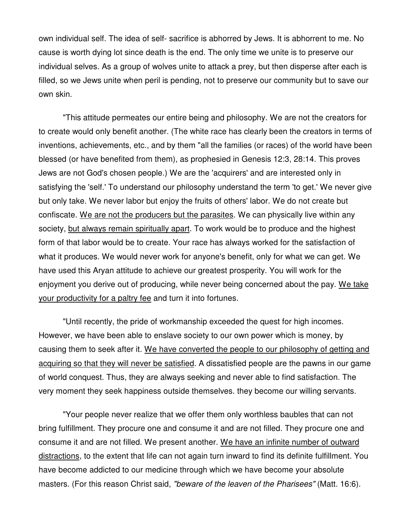own individual self. The idea of self- sacrifice is abhorred by Jews. It is abhorrent to me. No cause is worth dying lot since death is the end. The only time we unite is to preserve our individual selves. As a group of wolves unite to attack a prey, but then disperse after each is filled, so we Jews unite when peril is pending, not to preserve our community but to save our own skin.

"This attitude permeates our entire being and philosophy. We are not the creators for to create would only benefit another. (The white race has clearly been the creators in terms of inventions, achievements, etc., and by them "all the families (or races) of the world have been blessed (or have benefited from them), as prophesied in Genesis 12:3, 28:14. This proves Jews are not God's chosen people.) We are the 'acquirers' and are interested only in satisfying the 'self.' To understand our philosophy understand the term 'to get.' We never give but only take. We never labor but enjoy the fruits of others' labor. We do not create but confiscate. We are not the producers but the parasites. We can physically live within any society, but always remain spiritually apart. To work would be to produce and the highest form of that labor would be to create. Your race has always worked for the satisfaction of what it produces. We would never work for anyone's benefit, only for what we can get. We have used this Aryan attitude to achieve our greatest prosperity. You will work for the enjoyment you derive out of producing, while never being concerned about the pay. We take your productivity for a paltry fee and turn it into fortunes.

"Until recently, the pride of workmanship exceeded the quest for high incomes. However, we have been able to enslave society to our own power which is money, by causing them to seek after it. We have converted the people to our philosophy of getting and acquiring so that they will never be satisfied. A dissatisfied people are the pawns in our game of world conquest. Thus, they are always seeking and never able to find satisfaction. The very moment they seek happiness outside themselves. they become our willing servants.

"Your people never realize that we offer them only worthless baubles that can not bring fulfillment. They procure one and consume it and are not filled. They procure one and consume it and are not filled. We present another. We have an infinite number of outward distractions, to the extent that life can not again turn inward to find its definite fulfillment. You have become addicted to our medicine through which we have become your absolute masters. (For this reason Christ said, "beware of the leaven of the Pharisees" (Matt. 16:6).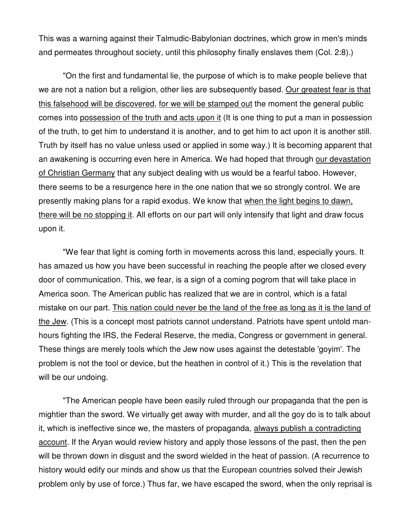This was a warning against their Talmudic-Babylonian doctrines, which grow in men's minds and permeates throughout society, until this philosophy finally enslaves them (Col. 2:8).)

"On the first and fundamental lie, the purpose of which is to make people believe that we are not a nation but a religion, other lies are subsequently based. Our greatest fear is that this falsehood will be discovered, for we will be stamped out the moment the general public comes into possession of the truth and acts upon it (It is one thing to put a man in possession of the truth, to get him to understand it is another, and to get him to act upon it is another still. Truth by itself has no value unless used or applied in some way.) It is becoming apparent that an awakening is occurring even here in America. We had hoped that through our devastation of Christian Germany that any subject dealing with us would be a fearful taboo. However, there seems to be a resurgence here in the one nation that we so strongly control. We are presently making plans for a rapid exodus. We know that when the light begins to dawn, there will be no stopping it. All efforts on our part will only intensify that light and draw focus upon it.

"We fear that light is coming forth in movements across this land, especially yours. It has amazed us how you have been successful in reaching the people after we closed every door of communication. This, we fear, is a sign of a coming pogrom that will take place in America soon. The American public has realized that we are in control, which is a fatal mistake on our part. This nation could never be the land of the free as long as it is the land of the Jew. (This is a concept most patriots cannot understand. Patriots have spent untold manhours fighting the IRS, the Federal Reserve, the media, Congress or government in general. These things are merely tools which the Jew now uses against the detestable 'goyim'. The problem is not the tool or device, but the heathen in control of it.) This is the revelation that will be our undoing.

"The American people have been easily ruled through our propaganda that the pen is mightier than the sword. We virtually get away with murder, and all the goy do is to talk about it, which is ineffective since we, the masters of propaganda, always publish a contradicting account. If the Aryan would review history and apply those lessons of the past, then the pen will be thrown down in disgust and the sword wielded in the heat of passion. (A recurrence to history would edify our minds and show us that the European countries solved their Jewish problem only by use of force.) Thus far, we have escaped the sword, when the only reprisal is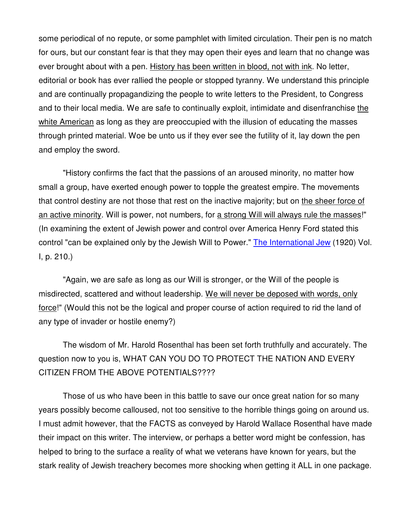some periodical of no repute, or some pamphlet with limited circulation. Their pen is no match for ours, but our constant fear is that they may open their eyes and learn that no change was ever brought about with a pen. History has been written in blood, not with ink. No letter, editorial or book has ever rallied the people or stopped tyranny. We understand this principle and are continually propagandizing the people to write letters to the President, to Congress and to their local media. We are safe to continually exploit, intimidate and disenfranchise the white American as long as they are preoccupied with the illusion of educating the masses through printed material. Woe be unto us if they ever see the futility of it, lay down the pen and employ the sword.

"History confirms the fact that the passions of an aroused minority, no matter how small a group, have exerted enough power to topple the greatest empire. The movements that control destiny are not those that rest on the inactive majority; but on the sheer force of an active minority. Will is power, not numbers, for a strong Will will always rule the masses!" (In examining the extent of Jewish power and control over America Henry Ford stated this control "can be explained only by the Jewish Will to Power." The International Jew (1920) Vol. I, p. 210.)

"Again, we are safe as long as our Will is stronger, or the Will of the people is misdirected, scattered and without leadership. We will never be deposed with words, only force!" (Would this not be the logical and proper course of action required to rid the land of any type of invader or hostile enemy?)

The wisdom of Mr. Harold Rosenthal has been set forth truthfully and accurately. The question now to you is, WHAT CAN YOU DO TO PROTECT THE NATION AND EVERY CITIZEN FROM THE ABOVE POTENTIALS????

Those of us who have been in this battle to save our once great nation for so many years possibly become calloused, not too sensitive to the horrible things going on around us. I must admit however, that the FACTS as conveyed by Harold Wallace Rosenthal have made their impact on this writer. The interview, or perhaps a better word might be confession, has helped to bring to the surface a reality of what we veterans have known for years, but the stark reality of Jewish treachery becomes more shocking when getting it ALL in one package.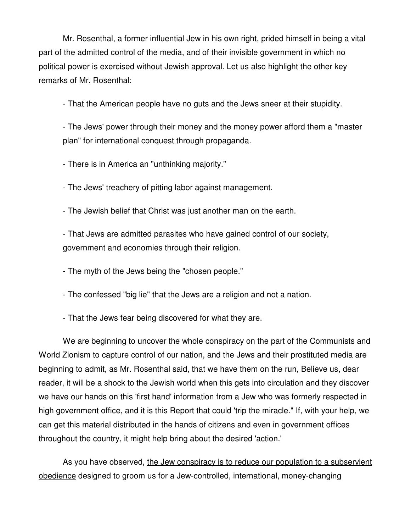Mr. Rosenthal, a former influential Jew in his own right, prided himself in being a vital part of the admitted control of the media, and of their invisible government in which no political power is exercised without Jewish approval. Let us also highlight the other key remarks of Mr. Rosenthal:

- That the American people have no guts and the Jews sneer at their stupidity.

- The Jews' power through their money and the money power afford them a "master plan" for international conquest through propaganda.

- There is in America an "unthinking majority."

- The Jews' treachery of pitting labor against management.

- The Jewish belief that Christ was just another man on the earth.

- That Jews are admitted parasites who have gained control of our society, government and economies through their religion.

- The myth of the Jews being the "chosen people."

- The confessed "big lie" that the Jews are a religion and not a nation.

- That the Jews fear being discovered for what they are.

We are beginning to uncover the whole conspiracy on the part of the Communists and World Zionism to capture control of our nation, and the Jews and their prostituted media are beginning to admit, as Mr. Rosenthal said, that we have them on the run, Believe us, dear reader, it will be a shock to the Jewish world when this gets into circulation and they discover we have our hands on this 'first hand' information from a Jew who was formerly respected in high government office, and it is this Report that could 'trip the miracle." If, with your help, we can get this material distributed in the hands of citizens and even in government offices throughout the country, it might help bring about the desired 'action.'

As you have observed, the Jew conspiracy is to reduce our population to a subservient obedience designed to groom us for a Jew-controlled, international, money-changing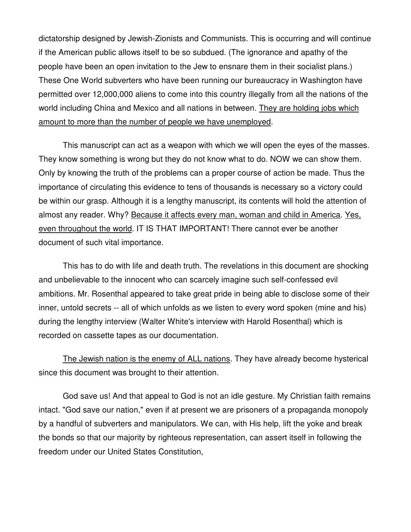dictatorship designed by Jewish-Zionists and Communists. This is occurring and will continue if the American public allows itself to be so subdued. (The ignorance and apathy of the people have been an open invitation to the Jew to ensnare them in their socialist plans.) These One World subverters who have been running our bureaucracy in Washington have permitted over 12,000,000 aliens to come into this country illegally from all the nations of the world including China and Mexico and all nations in between. They are holding jobs which amount to more than the number of people we have unemployed.

This manuscript can act as a weapon with which we will open the eyes of the masses. They know something is wrong but they do not know what to do. NOW we can show them. Only by knowing the truth of the problems can a proper course of action be made. Thus the importance of circulating this evidence to tens of thousands is necessary so a victory could be within our grasp. Although it is a lengthy manuscript, its contents will hold the attention of almost any reader. Why? Because it affects every man, woman and child in America. Yes, even throughout the world. IT IS THAT IMPORTANT! There cannot ever be another document of such vital importance.

This has to do with life and death truth. The revelations in this document are shocking and unbelievable to the innocent who can scarcely imagine such self-confessed evil ambitions. Mr. Rosenthal appeared to take great pride in being able to disclose some of their inner, untold secrets -- all of which unfolds as we listen to every word spoken (mine and his) during the lengthy interview (Walter White's interview with Harold Rosenthal) which is recorded on cassette tapes as our documentation.

The Jewish nation is the enemy of ALL nations. They have already become hysterical since this document was brought to their attention.

God save us! And that appeal to God is not an idle gesture. My Christian faith remains intact. "God save our nation," even if at present we are prisoners of a propaganda monopoly by a handful of subverters and manipulators. We can, with His help, lift the yoke and break the bonds so that our majority by righteous representation, can assert itself in following the freedom under our United States Constitution,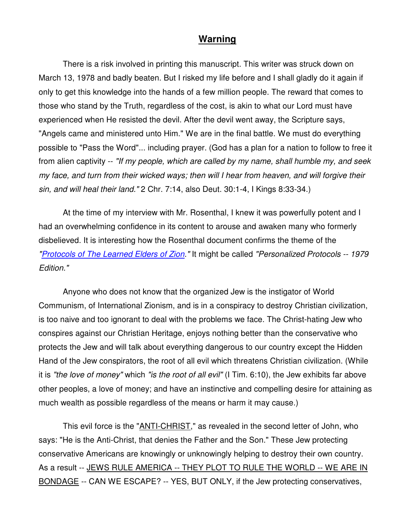#### **Warning**

There is a risk involved in printing this manuscript. This writer was struck down on March 13, 1978 and badly beaten. But I risked my life before and I shall gladly do it again if only to get this knowledge into the hands of a few million people. The reward that comes to those who stand by the Truth, regardless of the cost, is akin to what our Lord must have experienced when He resisted the devil. After the devil went away, the Scripture says, "Angels came and ministered unto Him." We are in the final battle. We must do everything possible to "Pass the Word"... including prayer. (God has a plan for a nation to follow to free it from alien captivity -- "If my people, which are called by my name, shall humble my, and seek my face, and turn from their wicked ways; then will I hear from heaven, and will forgive their sin, and will heal their land." 2 Chr. 7:14, also Deut. 30:1-4, I Kings 8:33-34.)

At the time of my interview with Mr. Rosenthal, I knew it was powerfully potent and I had an overwhelming confidence in its content to arouse and awaken many who formerly disbelieved. It is interesting how the Rosenthal document confirms the theme of the "Protocols of The Learned Elders of Zion." It might be called "Personalized Protocols -- 1979 Edition."

Anyone who does not know that the organized Jew is the instigator of World Communism, of International Zionism, and is in a conspiracy to destroy Christian civilization, is too naive and too ignorant to deal with the problems we face. The Christ-hating Jew who conspires against our Christian Heritage, enjoys nothing better than the conservative who protects the Jew and will talk about everything dangerous to our country except the Hidden Hand of the Jew conspirators, the root of all evil which threatens Christian civilization. (While it is "the love of money" which "is the root of all evil" (I Tim. 6:10), the Jew exhibits far above other peoples, a love of money; and have an instinctive and compelling desire for attaining as much wealth as possible regardless of the means or harm it may cause.)

This evil force is the "ANTI-CHRIST," as revealed in the second letter of John, who says: "He is the Anti-Christ, that denies the Father and the Son." These Jew protecting conservative Americans are knowingly or unknowingly helping to destroy their own country. As a result -- JEWS RULE AMERICA -- THEY PLOT TO RULE THE WORLD -- WE ARE IN BONDAGE -- CAN WE ESCAPE? -- YES, BUT ONLY, if the Jew protecting conservatives,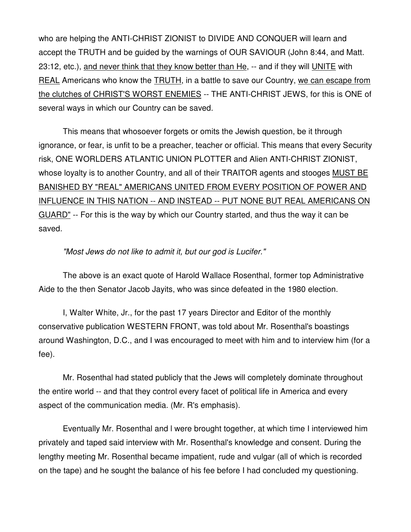who are helping the ANTI-CHRIST ZIONIST to DIVIDE AND CONQUER will learn and accept the TRUTH and be guided by the warnings of OUR SAVIOUR (John 8:44, and Matt. 23:12, etc.), and never think that they know better than He, -- and if they will UNITE with REAL Americans who know the TRUTH, in a battle to save our Country, we can escape from the clutches of CHRIST'S WORST ENEMIES -- THE ANTI-CHRIST JEWS, for this is ONE of several ways in which our Country can be saved.

This means that whosoever forgets or omits the Jewish question, be it through ignorance, or fear, is unfit to be a preacher, teacher or official. This means that every Security risk, ONE WORLDERS ATLANTIC UNION PLOTTER and Alien ANTI-CHRIST ZIONIST, whose loyalty is to another Country, and all of their TRAITOR agents and stooges MUST BE BANISHED BY "REAL" AMERICANS UNITED FROM EVERY POSITION OF POWER AND INFLUENCE IN THIS NATION -- AND INSTEAD -- PUT NONE BUT REAL AMERICANS ON GUARD" -- For this is the way by which our Country started, and thus the way it can be saved.

#### "Most Jews do not like to admit it, but our god is Lucifer."

The above is an exact quote of Harold Wallace Rosenthal, former top Administrative Aide to the then Senator Jacob Jayits, who was since defeated in the 1980 election.

I, Walter White, Jr., for the past 17 years Director and Editor of the monthly conservative publication WESTERN FRONT, was told about Mr. Rosenthal's boastings around Washington, D.C., and I was encouraged to meet with him and to interview him (for a fee).

Mr. Rosenthal had stated publicly that the Jews will completely dominate throughout the entire world -- and that they control every facet of political life in America and every aspect of the communication media. (Mr. R's emphasis).

Eventually Mr. Rosenthal and l were brought together, at which time I interviewed him privately and taped said interview with Mr. Rosenthal's knowledge and consent. During the lengthy meeting Mr. Rosenthal became impatient, rude and vulgar (all of which is recorded on the tape) and he sought the balance of his fee before I had concluded my questioning.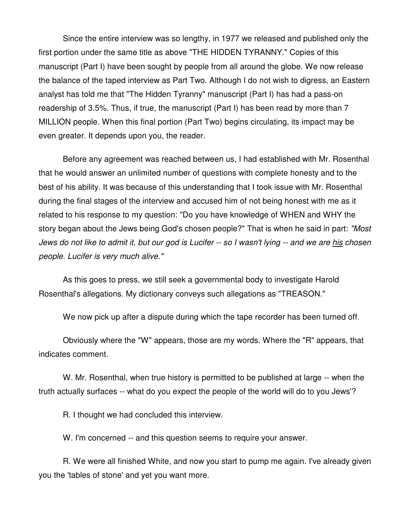Since the entire interview was so lengthy, in 1977 we released and published only the first portion under the same title as above "THE HIDDEN TYRANNY." Copies of this manuscript (Part I) have been sought by people from all around the globe. We now release the balance of the taped interview as Part Two. Although I do not wish to digress, an Eastern analyst has told me that "The Hidden Tyranny" manuscript (Part I) has had a pass-on readership of 3.5%. Thus, if true, the manuscript (Part I) has been read by more than 7 MILLION people. When this final portion (Part Two) begins circulating, its impact may be even greater. It depends upon you, the reader.

Before any agreement was reached between us, I had established with Mr. Rosenthal that he would answer an unlimited number of questions with complete honesty and to the best of his ability. It was because of this understanding that I took issue with Mr. Rosenthal during the final stages of the interview and accused him of not being honest with me as it related to his response to my question: "Do you have knowledge of WHEN and WHY the story began about the Jews being God's chosen people?" That is when he said in part: "Most Jews do not like to admit it, but our god is Lucifer -- so I wasn't lying -- and we are his chosen people. Lucifer is very much alive."

As this goes to press, we still seek a governmental body to investigate Harold Rosenthal's allegations. My dictionary conveys such allegations as "TREASON."

We now pick up after a dispute during which the tape recorder has been turned off.

Obviously where the "W" appears, those are my words. Where the "R" appears, that indicates comment.

W. Mr. Rosenthal, when true history is permitted to be published at large -- when the truth actually surfaces -- what do you expect the people of the world will do to you Jews'?

R. I thought we had concluded this interview.

W. I'm concerned -- and this question seems to require your answer.

R. We were all finished White, and now you start to pump me again. I've already given you the 'tables of stone' and yet you want more.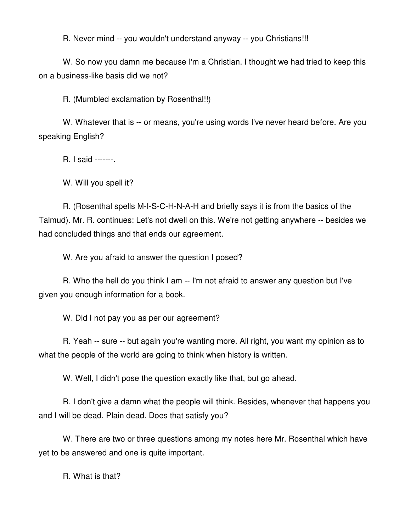R. Never mind -- you wouldn't understand anyway -- you Christians!!!

W. So now you damn me because I'm a Christian. I thought we had tried to keep this on a business-like basis did we not?

R. (Mumbled exclamation by Rosenthal!!)

W. Whatever that is -- or means, you're using words I've never heard before. Are you speaking English?

R. I said -------.

W. Will you spell it?

R. (Rosenthal spells M-I-S-C-H-N-A-H and briefly says it is from the basics of the Talmud). Mr. R. continues: Let's not dwell on this. We're not getting anywhere -- besides we had concluded things and that ends our agreement.

W. Are you afraid to answer the question I posed?

R. Who the hell do you think I am -- I'm not afraid to answer any question but I've given you enough information for a book.

W. Did I not pay you as per our agreement?

R. Yeah -- sure -- but again you're wanting more. All right, you want my opinion as to what the people of the world are going to think when history is written.

W. Well, I didn't pose the question exactly like that, but go ahead.

R. I don't give a damn what the people will think. Besides, whenever that happens you and I will be dead. Plain dead. Does that satisfy you?

W. There are two or three questions among my notes here Mr. Rosenthal which have yet to be answered and one is quite important.

R. What is that?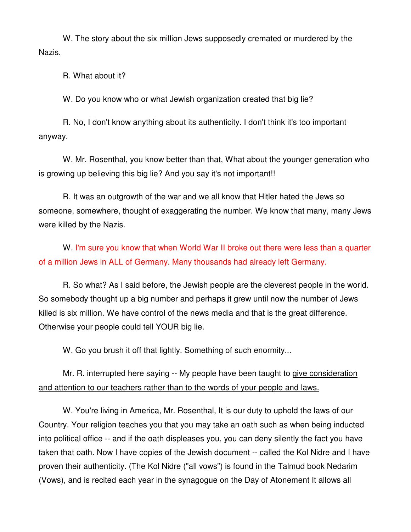W. The story about the six million Jews supposedly cremated or murdered by the Nazis.

R. What about it?

W. Do you know who or what Jewish organization created that big lie?

R. No, I don't know anything about its authenticity. I don't think it's too important anyway.

W. Mr. Rosenthal, you know better than that, What about the younger generation who is growing up believing this big lie? And you say it's not important!!

R. It was an outgrowth of the war and we all know that Hitler hated the Jews so someone, somewhere, thought of exaggerating the number. We know that many, many Jews were killed by the Nazis.

W. I'm sure you know that when World War II broke out there were less than a quarter of a million Jews in ALL of Germany. Many thousands had already left Germany.

R. So what? As I said before, the Jewish people are the cleverest people in the world. So somebody thought up a big number and perhaps it grew until now the number of Jews killed is six million. We have control of the news media and that is the great difference. Otherwise your people could tell YOUR big lie.

W. Go you brush it off that lightly. Something of such enormity...

Mr. R. interrupted here saying -- My people have been taught to give consideration and attention to our teachers rather than to the words of your people and laws.

W. You're living in America, Mr. Rosenthal, It is our duty to uphold the laws of our Country. Your religion teaches you that you may take an oath such as when being inducted into political office -- and if the oath displeases you, you can deny silently the fact you have taken that oath. Now I have copies of the Jewish document -- called the Kol Nidre and I have proven their authenticity. (The Kol Nidre ("all vows") is found in the Talmud book Nedarim (Vows), and is recited each year in the synagogue on the Day of Atonement It allows all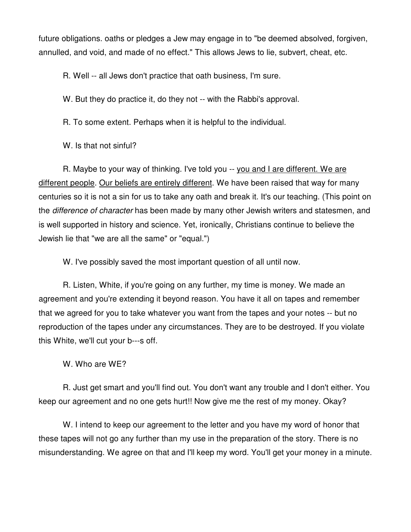future obligations. oaths or pledges a Jew may engage in to "be deemed absolved, forgiven, annulled, and void, and made of no effect." This allows Jews to lie, subvert, cheat, etc.

R. Well -- all Jews don't practice that oath business, I'm sure.

W. But they do practice it, do they not -- with the Rabbi's approval.

R. To some extent. Perhaps when it is helpful to the individual.

W. Is that not sinful?

R. Maybe to your way of thinking. I've told you -- you and I are different. We are different people. Our beliefs are entirely different. We have been raised that way for many centuries so it is not a sin for us to take any oath and break it. It's our teaching. (This point on the difference of character has been made by many other Jewish writers and statesmen, and is well supported in history and science. Yet, ironically, Christians continue to believe the Jewish lie that "we are all the same" or "equal.")

W. I've possibly saved the most important question of all until now.

R. Listen, White, if you're going on any further, my time is money. We made an agreement and you're extending it beyond reason. You have it all on tapes and remember that we agreed for you to take whatever you want from the tapes and your notes -- but no reproduction of the tapes under any circumstances. They are to be destroyed. If you violate this White, we'll cut your b---s off.

W. Who are WE?

R. Just get smart and you'll find out. You don't want any trouble and I don't either. You keep our agreement and no one gets hurt!! Now give me the rest of my money. Okay?

W. I intend to keep our agreement to the letter and you have my word of honor that these tapes will not go any further than my use in the preparation of the story. There is no misunderstanding. We agree on that and I'll keep my word. You'll get your money in a minute.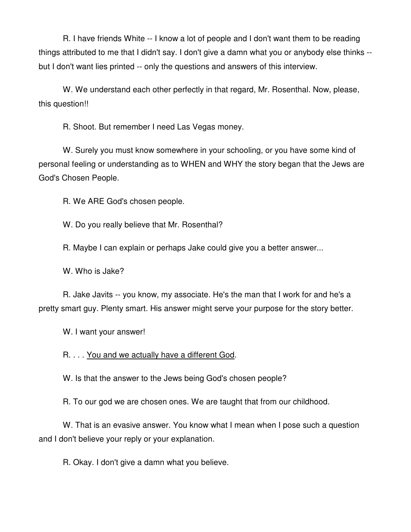R. I have friends White -- I know a lot of people and I don't want them to be reading things attributed to me that I didn't say. I don't give a damn what you or anybody else thinks - but I don't want lies printed -- only the questions and answers of this interview.

W. We understand each other perfectly in that regard, Mr. Rosenthal. Now, please, this question!!

R. Shoot. But remember I need Las Vegas money.

W. Surely you must know somewhere in your schooling, or you have some kind of personal feeling or understanding as to WHEN and WHY the story began that the Jews are God's Chosen People.

R. We ARE God's chosen people.

W. Do you really believe that Mr. Rosenthal?

R. Maybe I can explain or perhaps Jake could give you a better answer...

W. Who is Jake?

R. Jake Javits -- you know, my associate. He's the man that I work for and he's a pretty smart guy. Plenty smart. His answer might serve your purpose for the story better.

W. I want your answer!

R. . . . You and we actually have a different God.

W. Is that the answer to the Jews being God's chosen people?

R. To our god we are chosen ones. We are taught that from our childhood.

W. That is an evasive answer. You know what I mean when I pose such a question and I don't believe your reply or your explanation.

R. Okay. I don't give a damn what you believe.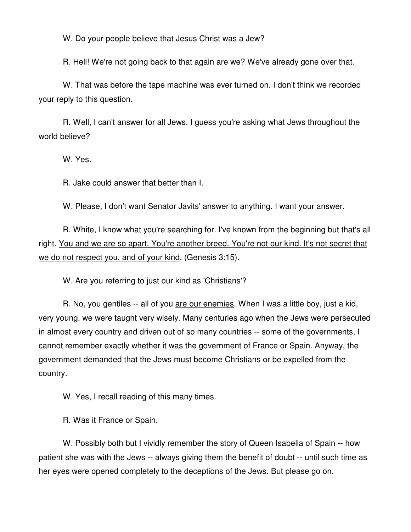W. Do your people believe that Jesus Christ was a Jew?

R. Hell! We're not going back to that again are we? We've already gone over that.

W. That was before the tape machine was ever turned on. I don't think we recorded your reply to this question.

R. Well, I can't answer for all Jews. I guess you're asking what Jews throughout the world believe?

W. Yes.

R. Jake could answer that better than I.

W. Please, I don't want Senator Javits' answer to anything. I want your answer.

R. White, I know what you're searching for. I've known from the beginning but that's all right. You and we are so apart. You're another breed. You're not our kind. It's not secret that we do not respect you, and of your kind. (Genesis 3:15).

W. Are you referring to just our kind as 'Christians'?

R. No, you gentiles -- all of you are our enemies. When I was a little boy, just a kid, very young, we were taught very wisely. Many centuries ago when the Jews were persecuted in almost every country and driven out of so many countries -- some of the governments, I cannot remember exactly whether it was the government of France or Spain. Anyway, the government demanded that the Jews must become Christians or be expelled from the country.

W. Yes, I recall reading of this many times.

R. Was it France or Spain.

W. Possibly both but I vividly remember the story of Queen Isabella of Spain -- how patient she was with the Jews -- always giving them the benefit of doubt -- until such time as her eyes were opened completely to the deceptions of the Jews. But please go on.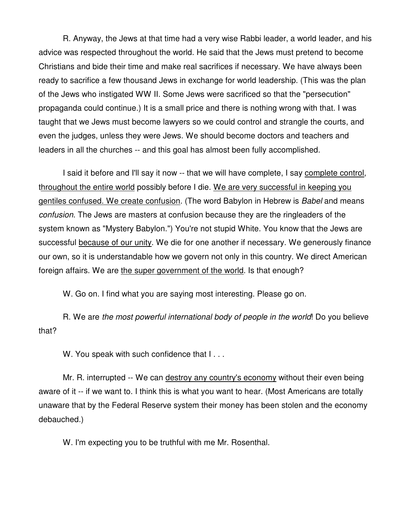R. Anyway, the Jews at that time had a very wise Rabbi leader, a world leader, and his advice was respected throughout the world. He said that the Jews must pretend to become Christians and bide their time and make real sacrifices if necessary. We have always been ready to sacrifice a few thousand Jews in exchange for world leadership. (This was the plan of the Jews who instigated WW II. Some Jews were sacrificed so that the "persecution" propaganda could continue.) It is a small price and there is nothing wrong with that. I was taught that we Jews must become lawyers so we could control and strangle the courts, and even the judges, unless they were Jews. We should become doctors and teachers and leaders in all the churches -- and this goal has almost been fully accomplished.

I said it before and I'll say it now -- that we will have complete, I say complete control, throughout the entire world possibly before I die. We are very successful in keeping you gentiles confused. We create confusion. (The word Babylon in Hebrew is Babel and means confusion. The Jews are masters at confusion because they are the ringleaders of the system known as "Mystery Babylon.") You're not stupid White. You know that the Jews are successful because of our unity. We die for one another if necessary. We generously finance our own, so it is understandable how we govern not only in this country. We direct American foreign affairs. We are the super government of the world. Is that enough?

W. Go on. I find what you are saying most interesting. Please go on.

R. We are the most powerful international body of people in the world! Do you believe that?

W. You speak with such confidence that I...

Mr. R. interrupted -- We can destroy any country's economy without their even being aware of it -- if we want to. I think this is what you want to hear. (Most Americans are totally unaware that by the Federal Reserve system their money has been stolen and the economy debauched.)

W. I'm expecting you to be truthful with me Mr. Rosenthal.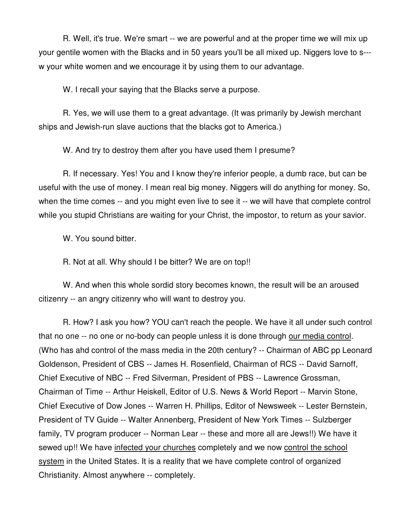R. Well, it's true. We're smart -- we are powerful and at the proper time we will mix up your gentile women with the Blacks and in 50 years you'll be all mixed up. Niggers love to s-- w your white women and we encourage it by using them to our advantage.

W. I recall your saying that the Blacks serve a purpose.

R. Yes, we will use them to a great advantage. (It was primarily by Jewish merchant ships and Jewish-run slave auctions that the blacks got to America.)

W. And try to destroy them after you have used them I presume?

R. If necessary. Yes! You and I know they're inferior people, a dumb race, but can be useful with the use of money. I mean real big money. Niggers will do anything for money. So, when the time comes -- and you might even live to see it -- we will have that complete control while you stupid Christians are waiting for your Christ, the impostor, to return as your savior.

W. You sound bitter.

R. Not at all. Why should I be bitter? We are on top!!

W. And when this whole sordid story becomes known, the result will be an aroused citizenry -- an angry citizenry who will want to destroy you.

R. How? I ask you how? YOU can't reach the people. We have it all under such control that no one -- no one or no-body can people unless it is done through our media control. (Who has ahd control of the mass media in the 20th century? -- Chairman of ABC pp Leonard Goldenson, President of CBS -- James H. Rosenfield, Chairman of RCS -- David Sarnoff, Chief Executive of NBC -- Fred Silverman, President of PBS -- Lawrence Grossman, Chairman of Time -- Arthur Heiskell, Editor of U.S. News & World Report -- Marvin Stone, Chief Executive of Dow Jones -- Warren H. Phillips, Editor of Newsweek -- Lester Bernstein, President of TV Guide -- Walter Annenberg, President of New York Times -- Sulzberger family, TV program producer -- Norman Lear -- these and more all are Jews!!) We have it sewed up!! We have infected your churches completely and we now control the school system in the United States. It is a reality that we have complete control of organized Christianity. Almost anywhere -- completely.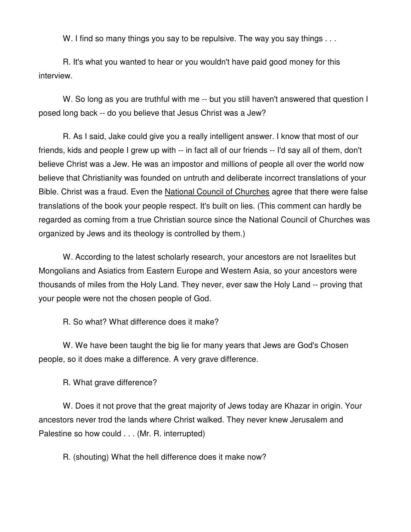W. I find so many things you say to be repulsive. The way you say things ...

R. It's what you wanted to hear or you wouldn't have paid good money for this interview.

W. So long as you are truthful with me -- but you still haven't answered that question I posed long back -- do you believe that Jesus Christ was a Jew?

R. As I said, Jake could give you a really intelligent answer. I know that most of our friends, kids and people I grew up with -- in fact all of our friends -- I'd say all of them, don't believe Christ was a Jew. He was an impostor and millions of people all over the world now believe that Christianity was founded on untruth and deliberate incorrect translations of your Bible. Christ was a fraud. Even the National Council of Churches agree that there were false translations of the book your people respect. It's built on lies. (This comment can hardly be regarded as coming from a true Christian source since the National Council of Churches was organized by Jews and its theology is controlled by them.)

W. According to the latest scholarly research, your ancestors are not Israelites but Mongolians and Asiatics from Eastern Europe and Western Asia, so your ancestors were thousands of miles from the Holy Land. They never, ever saw the Holy Land -- proving that your people were not the chosen people of God.

R. So what? What difference does it make?

W. We have been taught the big lie for many years that Jews are God's Chosen people, so it does make a difference. A very grave difference.

R. What grave difference?

W. Does it not prove that the great majority of Jews today are Khazar in origin. Your ancestors never trod the lands where Christ walked. They never knew Jerusalem and Palestine so how could . . . (Mr. R. interrupted)

R. (shouting) What the hell difference does it make now?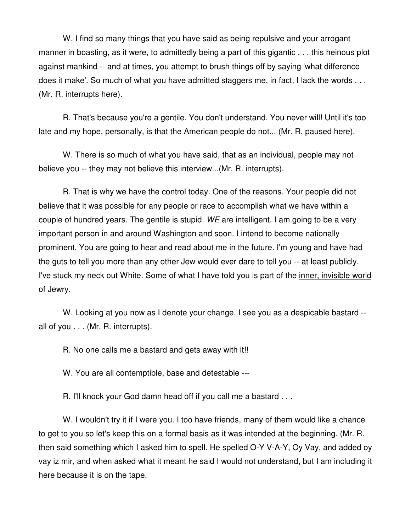W. I find so many things that you have said as being repulsive and your arrogant manner in boasting, as it were, to admittedly being a part of this gigantic . . . this heinous plot against mankind -- and at times, you attempt to brush things off by saying 'what difference does it make'. So much of what you have admitted staggers me, in fact, I lack the words . . . (Mr. R. interrupts here).

R. That's because you're a gentile. You don't understand. You never will! Until it's too late and my hope, personally, is that the American people do not... (Mr. R. paused here).

W. There is so much of what you have said, that as an individual, people may not believe you -- they may not believe this interview...(Mr. R. interrupts).

R. That is why we have the control today. One of the reasons. Your people did not believe that it was possible for any people or race to accomplish what we have within a couple of hundred years. The gentile is stupid. WE are intelligent. I am going to be a very important person in and around Washington and soon. I intend to become nationally prominent. You are going to hear and read about me in the future. I'm young and have had the guts to tell you more than any other Jew would ever dare to tell you -- at least publicly. I've stuck my neck out White. Some of what I have told you is part of the *inner*, invisible world of Jewry.

W. Looking at you now as I denote your change, I see you as a despicable bastard - all of you . . . (Mr. R. interrupts).

R. No one calls me a bastard and gets away with it!!

W. You are all contemptible, base and detestable ---

R. I'll knock your God damn head off if you call me a bastard . . .

W. I wouldn't try it if I were you. I too have friends, many of them would like a chance to get to you so let's keep this on a formal basis as it was intended at the beginning. (Mr. R. then said something which I asked him to spell. He spelled O-Y V-A-Y, Oy Vay, and added oy vay iz mir, and when asked what it meant he said I would not understand, but I am including it here because it is on the tape.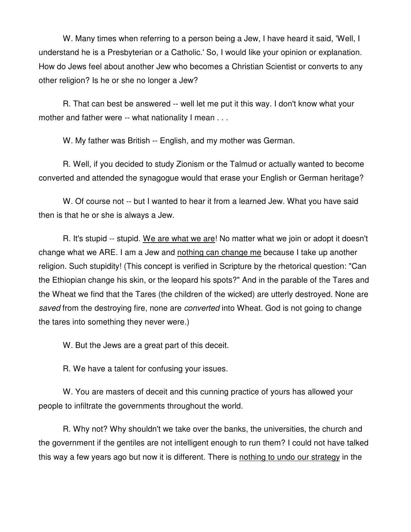W. Many times when referring to a person being a Jew, I have heard it said, 'Well, I understand he is a Presbyterian or a Catholic.' So, I would like your opinion or explanation. How do Jews feel about another Jew who becomes a Christian Scientist or converts to any other religion? Is he or she no longer a Jew?

R. That can best be answered -- well let me put it this way. I don't know what your mother and father were -- what nationality I mean . . .

W. My father was British -- English, and my mother was German.

R. Well, if you decided to study Zionism or the Talmud or actually wanted to become converted and attended the synagogue would that erase your English or German heritage?

W. Of course not -- but I wanted to hear it from a learned Jew. What you have said then is that he or she is always a Jew.

R. It's stupid -- stupid. We are what we are! No matter what we join or adopt it doesn't change what we ARE. I am a Jew and nothing can change me because I take up another religion. Such stupidity! (This concept is verified in Scripture by the rhetorical question: "Can the Ethiopian change his skin, or the leopard his spots?" And in the parable of the Tares and the Wheat we find that the Tares (the children of the wicked) are utterly destroyed. None are saved from the destroying fire, none are *converted* into Wheat. God is not going to change the tares into something they never were.)

W. But the Jews are a great part of this deceit.

R. We have a talent for confusing your issues.

W. You are masters of deceit and this cunning practice of yours has allowed your people to infiltrate the governments throughout the world.

R. Why not? Why shouldn't we take over the banks, the universities, the church and the government if the gentiles are not intelligent enough to run them? I could not have talked this way a few years ago but now it is different. There is nothing to undo our strategy in the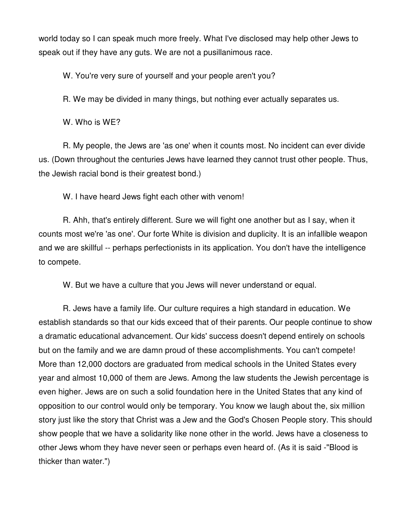world today so I can speak much more freely. What I've disclosed may help other Jews to speak out if they have any guts. We are not a pusillanimous race.

W. You're very sure of yourself and your people aren't you?

R. We may be divided in many things, but nothing ever actually separates us.

W. Who is WE?

R. My people, the Jews are 'as one' when it counts most. No incident can ever divide us. (Down throughout the centuries Jews have learned they cannot trust other people. Thus, the Jewish racial bond is their greatest bond.)

W. I have heard Jews fight each other with venom!

R. Ahh, that's entirely different. Sure we will fight one another but as I say, when it counts most we're 'as one'. Our forte White is division and duplicity. It is an infallible weapon and we are skillful -- perhaps perfectionists in its application. You don't have the intelligence to compete.

W. But we have a culture that you Jews will never understand or equal.

R. Jews have a family life. Our culture requires a high standard in education. We establish standards so that our kids exceed that of their parents. Our people continue to show a dramatic educational advancement. Our kids' success doesn't depend entirely on schools but on the family and we are damn proud of these accomplishments. You can't compete! More than 12,000 doctors are graduated from medical schools in the United States every year and almost 10,000 of them are Jews. Among the law students the Jewish percentage is even higher. Jews are on such a solid foundation here in the United States that any kind of opposition to our control would only be temporary. You know we laugh about the, six million story just like the story that Christ was a Jew and the God's Chosen People story. This should show people that we have a solidarity like none other in the world. Jews have a closeness to other Jews whom they have never seen or perhaps even heard of. (As it is said -"Blood is thicker than water.")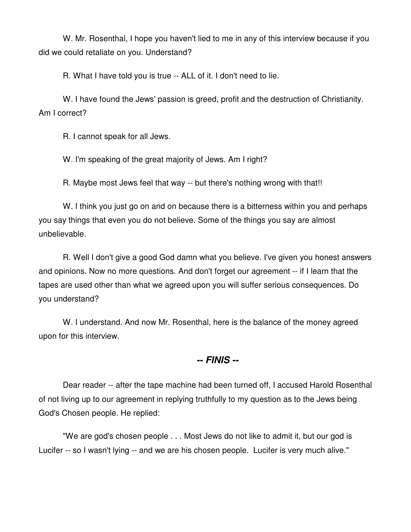W. Mr. Rosenthal, I hope you haven't lied to me in any of this interview because if you did we could retaliate on you. Understand?

R. What I have told you is true -- ALL of it. I don't need to lie.

W. I have found the Jews' passion is greed, profit and the destruction of Christianity. Am I correct?

R. I cannot speak for all Jews.

W. I'm speaking of the great majority of Jews. Am I right?

R. Maybe most Jews feel that way -- but there's nothing wrong with that!!

W. I think you just go on and on because there is a bitterness within you and perhaps you say things that even you do not believe. Some of the things you say are almost unbelievable.

R. Well I don't give a good God damn what you believe. I've given you honest answers and opinions. Now no more questions. And don't forget our agreement -- if I learn that the tapes are used other than what we agreed upon you will suffer serious consequences. Do you understand?

W. I understand. And now Mr. Rosenthal, here is the balance of the money agreed upon for this interview.

#### **-- FINIS --**

Dear reader -- after the tape machine had been turned off, I accused Harold Rosenthal of not living up to our agreement in replying truthfully to my question as to the Jews being God's Chosen people. He replied:

"We are god's chosen people . . . Most Jews do not like to admit it, but our god is Lucifer -- so I wasn't lying -- and we are his chosen people. Lucifer is very much alive."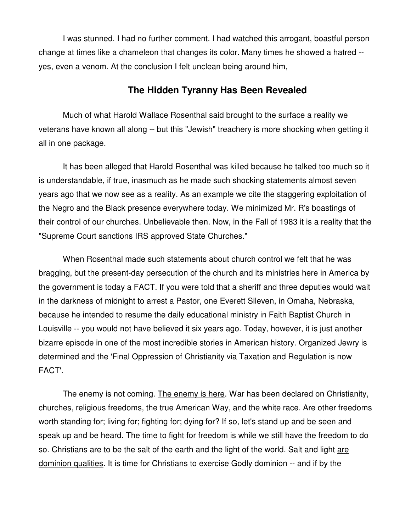I was stunned. I had no further comment. I had watched this arrogant, boastful person change at times like a chameleon that changes its color. Many times he showed a hatred - yes, even a venom. At the conclusion I felt unclean being around him,

#### **The Hidden Tyranny Has Been Revealed**

Much of what Harold Wallace Rosenthal said brought to the surface a reality we veterans have known all along -- but this "Jewish" treachery is more shocking when getting it all in one package.

It has been alleged that Harold Rosenthal was killed because he talked too much so it is understandable, if true, inasmuch as he made such shocking statements almost seven years ago that we now see as a reality. As an example we cite the staggering exploitation of the Negro and the Black presence everywhere today. We minimized Mr. R's boastings of their control of our churches. Unbelievable then. Now, in the Fall of 1983 it is a reality that the "Supreme Court sanctions IRS approved State Churches."

When Rosenthal made such statements about church control we felt that he was bragging, but the present-day persecution of the church and its ministries here in America by the government is today a FACT. If you were told that a sheriff and three deputies would wait in the darkness of midnight to arrest a Pastor, one Everett Sileven, in Omaha, Nebraska, because he intended to resume the daily educational ministry in Faith Baptist Church in Louisville -- you would not have believed it six years ago. Today, however, it is just another bizarre episode in one of the most incredible stories in American history. Organized Jewry is determined and the 'Final Oppression of Christianity via Taxation and Regulation is now FACT'.

The enemy is not coming. The enemy is here. War has been declared on Christianity, churches, religious freedoms, the true American Way, and the white race. Are other freedoms worth standing for; living for; fighting for; dying for? If so, let's stand up and be seen and speak up and be heard. The time to fight for freedom is while we still have the freedom to do so. Christians are to be the salt of the earth and the light of the world. Salt and light are dominion qualities. It is time for Christians to exercise Godly dominion -- and if by the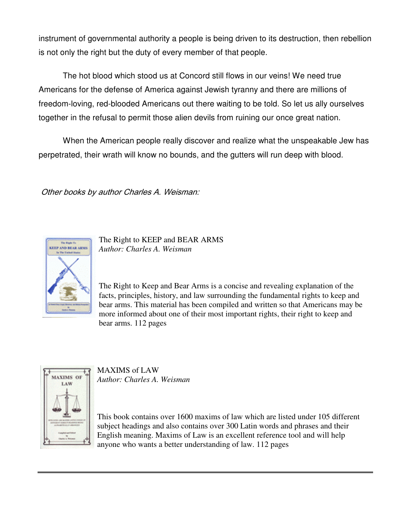instrument of governmental authority a people is being driven to its destruction, then rebellion is not only the right but the duty of every member of that people.

The hot blood which stood us at Concord still flows in our veins! We need true Americans for the defense of America against Jewish tyranny and there are millions of freedom-loving, red-blooded Americans out there waiting to be told. So let us ally ourselves together in the refusal to permit those alien devils from ruining our once great nation.

When the American people really discover and realize what the unspeakable Jew has perpetrated, their wrath will know no bounds, and the gutters will run deep with blood.

Other books by author Charles A. Weisman:



The Right to KEEP and BEAR ARMS *Author: Charles A. Weisman*

The Right to Keep and Bear Arms is a concise and revealing explanation of the facts, principles, history, and law surrounding the fundamental rights to keep and bear arms. This material has been compiled and written so that Americans may be more informed about one of their most important rights, their right to keep and bear arms. 112 pages



MAXIMS of LAW *Author: Charles A. Weisman*

This book contains over 1600 maxims of law which are listed under 105 different subject headings and also contains over 300 Latin words and phrases and their English meaning. Maxims of Law is an excellent reference tool and will help anyone who wants a better understanding of law. 112 pages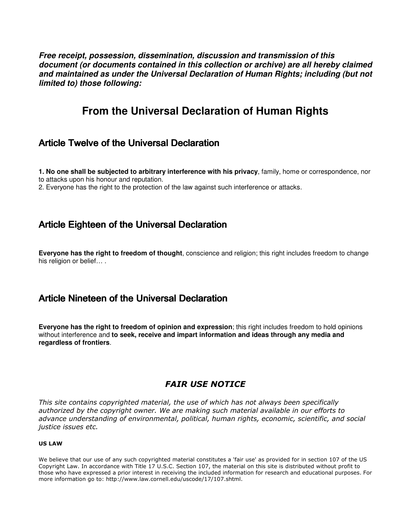**Free receipt, possession, dissemination, discussion and transmission of this document (or documents contained in this collection or archive) are all hereby claimed and maintained as under the Universal Declaration of Human Rights; including (but not limited to) those following:** 

# **From the Universal Declaration of Human Rights**

#### Article Twelve of the Universal Declaration

**1. No one shall be subjected to arbitrary interference with his privacy**, family, home or correspondence, nor to attacks upon his honour and reputation.

2. Everyone has the right to the protection of the law against such interference or attacks.

#### Article Eighteen of the Universal Declaration

**Everyone has the right to freedom of thought**, conscience and religion; this right includes freedom to change his religion or belief....

#### Article Nineteen of the Universal Declaration

**Everyone has the right to freedom of opinion and expression**; this right includes freedom to hold opinions without interference and **to seek, receive and impart information and ideas through any media and regardless of frontiers**.

#### FAIR USE NOTICE

This site contains copyrighted material, the use of which has not always been specifically authorized by the copyright owner. We are making such material available in our efforts to advance understanding of environmental, political, human rights, economic, scientific, and social justice issues etc.

#### US LAW

We believe that our use of any such copyrighted material constitutes a 'fair use' as provided for in section 107 of the US Copyright Law. In accordance with Title 17 U.S.C. Section 107, the material on this site is distributed without profit to those who have expressed a prior interest in receiving the included information for research and educational purposes. For more information go to: http://www.law.cornell.edu/uscode/17/107.shtml.